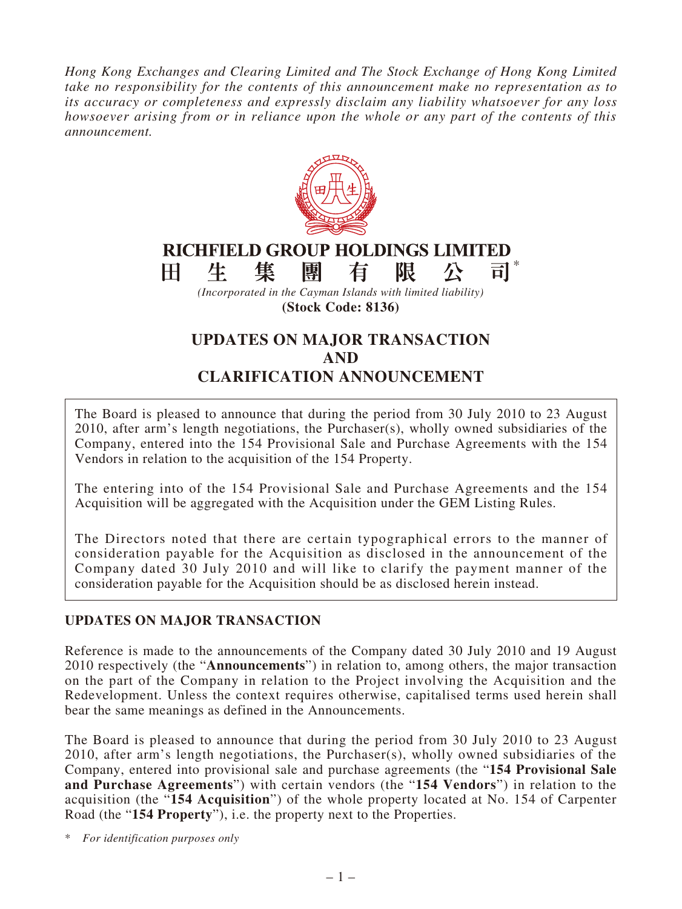*Hong Kong Exchanges and Clearing Limited and The Stock Exchange of Hong Kong Limited take no responsibility for the contents of this announcement make no representation as to its accuracy or completeness and expressly disclaim any liability whatsoever for any loss howsoever arising from or in reliance upon the whole or any part of the contents of this announcement.*



**(Stock Code: 8136)**

# **UPDATES ON MAJOR TRANSACTION AND CLARIFICATION ANNOUNCEMENT**

The Board is pleased to announce that during the period from 30 July 2010 to 23 August 2010, after arm's length negotiations, the Purchaser(s), wholly owned subsidiaries of the Company, entered into the 154 Provisional Sale and Purchase Agreements with the 154 Vendors in relation to the acquisition of the 154 Property.

The entering into of the 154 Provisional Sale and Purchase Agreements and the 154 Acquisition will be aggregated with the Acquisition under the GEM Listing Rules.

The Directors noted that there are certain typographical errors to the manner of consideration payable for the Acquisition as disclosed in the announcement of the Company dated 30 July 2010 and will like to clarify the payment manner of the consideration payable for the Acquisition should be as disclosed herein instead.

## **UPDATES ON MAJOR TRANSACTION**

Reference is made to the announcements of the Company dated 30 July 2010 and 19 August 2010 respectively (the "**Announcements**") in relation to, among others, the major transaction on the part of the Company in relation to the Project involving the Acquisition and the Redevelopment. Unless the context requires otherwise, capitalised terms used herein shall bear the same meanings as defined in the Announcements.

The Board is pleased to announce that during the period from 30 July 2010 to 23 August 2010, after arm's length negotiations, the Purchaser(s), wholly owned subsidiaries of the Company, entered into provisional sale and purchase agreements (the "**154 Provisional Sale and Purchase Agreements**") with certain vendors (the "**154 Vendors**") in relation to the acquisition (the "**154 Acquisition**") of the whole property located at No. 154 of Carpenter Road (the "**154 Property**"), i.e. the property next to the Properties.

\* *For identification purposes only*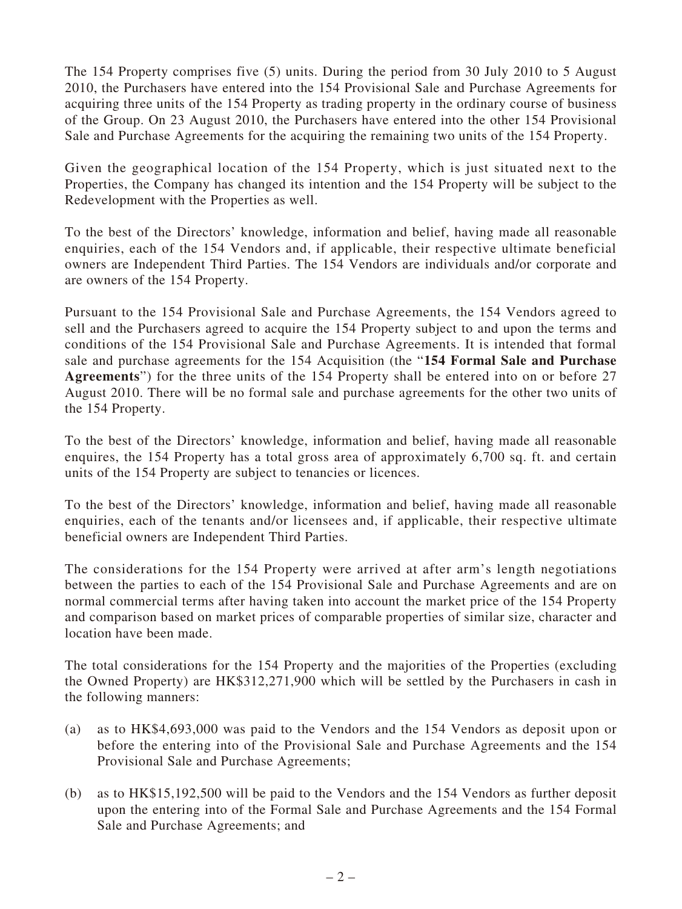The 154 Property comprises five (5) units. During the period from 30 July 2010 to 5 August 2010, the Purchasers have entered into the 154 Provisional Sale and Purchase Agreements for acquiring three units of the 154 Property as trading property in the ordinary course of business of the Group. On 23 August 2010, the Purchasers have entered into the other 154 Provisional Sale and Purchase Agreements for the acquiring the remaining two units of the 154 Property.

Given the geographical location of the 154 Property, which is just situated next to the Properties, the Company has changed its intention and the 154 Property will be subject to the Redevelopment with the Properties as well.

To the best of the Directors' knowledge, information and belief, having made all reasonable enquiries, each of the 154 Vendors and, if applicable, their respective ultimate beneficial owners are Independent Third Parties. The 154 Vendors are individuals and/or corporate and are owners of the 154 Property.

Pursuant to the 154 Provisional Sale and Purchase Agreements, the 154 Vendors agreed to sell and the Purchasers agreed to acquire the 154 Property subject to and upon the terms and conditions of the 154 Provisional Sale and Purchase Agreements. It is intended that formal sale and purchase agreements for the 154 Acquisition (the "**154 Formal Sale and Purchase Agreements**") for the three units of the 154 Property shall be entered into on or before 27 August 2010. There will be no formal sale and purchase agreements for the other two units of the 154 Property.

To the best of the Directors' knowledge, information and belief, having made all reasonable enquires, the 154 Property has a total gross area of approximately 6,700 sq. ft. and certain units of the 154 Property are subject to tenancies or licences.

To the best of the Directors' knowledge, information and belief, having made all reasonable enquiries, each of the tenants and/or licensees and, if applicable, their respective ultimate beneficial owners are Independent Third Parties.

The considerations for the 154 Property were arrived at after arm's length negotiations between the parties to each of the 154 Provisional Sale and Purchase Agreements and are on normal commercial terms after having taken into account the market price of the 154 Property and comparison based on market prices of comparable properties of similar size, character and location have been made.

The total considerations for the 154 Property and the majorities of the Properties (excluding the Owned Property) are HK\$312,271,900 which will be settled by the Purchasers in cash in the following manners:

- (a) as to HK\$4,693,000 was paid to the Vendors and the 154 Vendors as deposit upon or before the entering into of the Provisional Sale and Purchase Agreements and the 154 Provisional Sale and Purchase Agreements;
- (b) as to HK\$15,192,500 will be paid to the Vendors and the 154 Vendors as further deposit upon the entering into of the Formal Sale and Purchase Agreements and the 154 Formal Sale and Purchase Agreements; and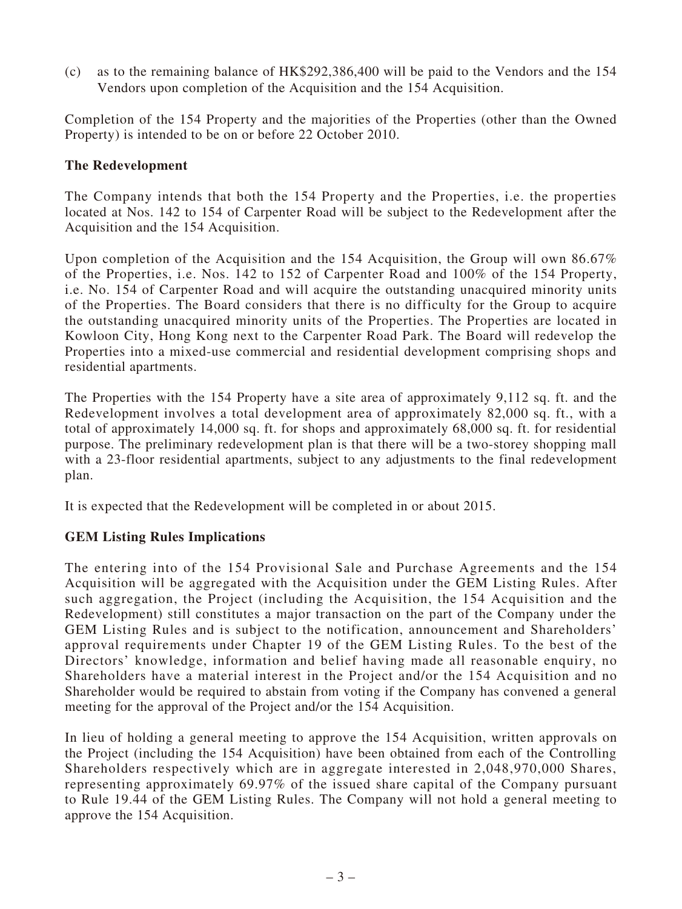(c) as to the remaining balance of HK\$292,386,400 will be paid to the Vendors and the 154 Vendors upon completion of the Acquisition and the 154 Acquisition.

Completion of the 154 Property and the majorities of the Properties (other than the Owned Property) is intended to be on or before 22 October 2010.

#### **The Redevelopment**

The Company intends that both the 154 Property and the Properties, i.e. the properties located at Nos. 142 to 154 of Carpenter Road will be subject to the Redevelopment after the Acquisition and the 154 Acquisition.

Upon completion of the Acquisition and the 154 Acquisition, the Group will own 86.67% of the Properties, i.e. Nos. 142 to 152 of Carpenter Road and 100% of the 154 Property, i.e. No. 154 of Carpenter Road and will acquire the outstanding unacquired minority units of the Properties. The Board considers that there is no difficulty for the Group to acquire the outstanding unacquired minority units of the Properties. The Properties are located in Kowloon City, Hong Kong next to the Carpenter Road Park. The Board will redevelop the Properties into a mixed-use commercial and residential development comprising shops and residential apartments.

The Properties with the 154 Property have a site area of approximately 9,112 sq. ft. and the Redevelopment involves a total development area of approximately 82,000 sq. ft., with a total of approximately 14,000 sq. ft. for shops and approximately 68,000 sq. ft. for residential purpose. The preliminary redevelopment plan is that there will be a two-storey shopping mall with a 23-floor residential apartments, subject to any adjustments to the final redevelopment plan.

It is expected that the Redevelopment will be completed in or about 2015.

#### **GEM Listing Rules Implications**

The entering into of the 154 Provisional Sale and Purchase Agreements and the 154 Acquisition will be aggregated with the Acquisition under the GEM Listing Rules. After such aggregation, the Project (including the Acquisition, the 154 Acquisition and the Redevelopment) still constitutes a major transaction on the part of the Company under the GEM Listing Rules and is subject to the notification, announcement and Shareholders' approval requirements under Chapter 19 of the GEM Listing Rules. To the best of the Directors' knowledge, information and belief having made all reasonable enquiry, no Shareholders have a material interest in the Project and/or the 154 Acquisition and no Shareholder would be required to abstain from voting if the Company has convened a general meeting for the approval of the Project and/or the 154 Acquisition.

In lieu of holding a general meeting to approve the 154 Acquisition, written approvals on the Project (including the 154 Acquisition) have been obtained from each of the Controlling Shareholders respectively which are in aggregate interested in 2,048,970,000 Shares, representing approximately 69.97% of the issued share capital of the Company pursuant to Rule 19.44 of the GEM Listing Rules. The Company will not hold a general meeting to approve the 154 Acquisition.